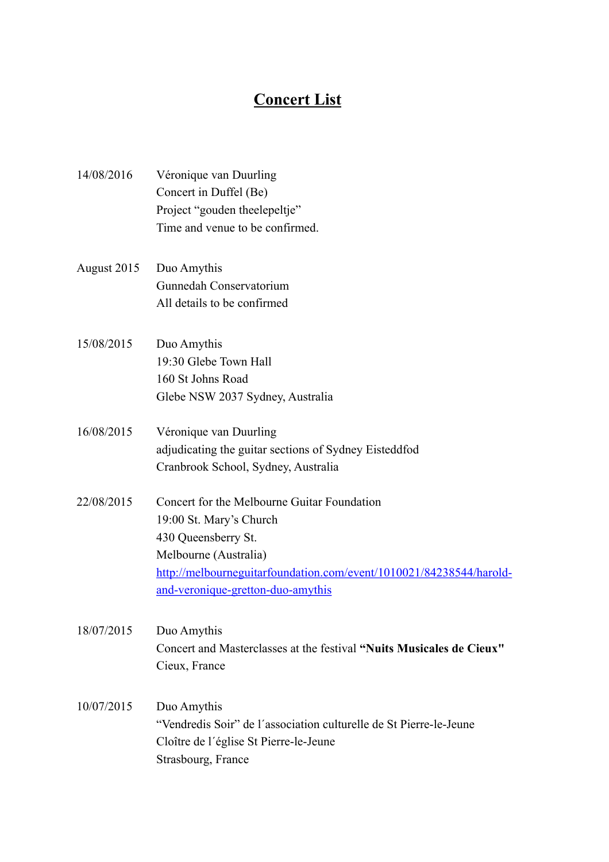## **Concert List**

| 14/08/2016  | Véronique van Duurling                                               |
|-------------|----------------------------------------------------------------------|
|             | Concert in Duffel (Be)                                               |
|             | Project "gouden theelepeltje"                                        |
|             | Time and venue to be confirmed.                                      |
| August 2015 | Duo Amythis                                                          |
|             | Gunnedah Conservatorium                                              |
|             | All details to be confirmed                                          |
| 15/08/2015  | Duo Amythis                                                          |
|             | 19:30 Glebe Town Hall                                                |
|             | 160 St Johns Road                                                    |
|             | Glebe NSW 2037 Sydney, Australia                                     |
| 16/08/2015  | Véronique van Duurling                                               |
|             | adjudicating the guitar sections of Sydney Eisteddfod                |
|             | Cranbrook School, Sydney, Australia                                  |
| 22/08/2015  | Concert for the Melbourne Guitar Foundation                          |
|             | 19:00 St. Mary's Church                                              |
|             | 430 Queensberry St.                                                  |
|             | Melbourne (Australia)                                                |
|             | http://melbourneguitarfoundation.com/event/1010021/84238544/harold-  |
|             | and-veronique-gretton-duo-amythis                                    |
| 18/07/2015  | Duo Amythis                                                          |
|             | Concert and Masterclasses at the festival "Nuits Musicales de Cieux" |
|             | Cieux, France                                                        |
| 10/07/2015  | Duo Amythis                                                          |
|             | "Vendredis Soir" de l'association culturelle de St Pierre-le-Jeune   |
|             | Cloître de l'église St Pierre-le-Jeune                               |
|             | Strasbourg, France                                                   |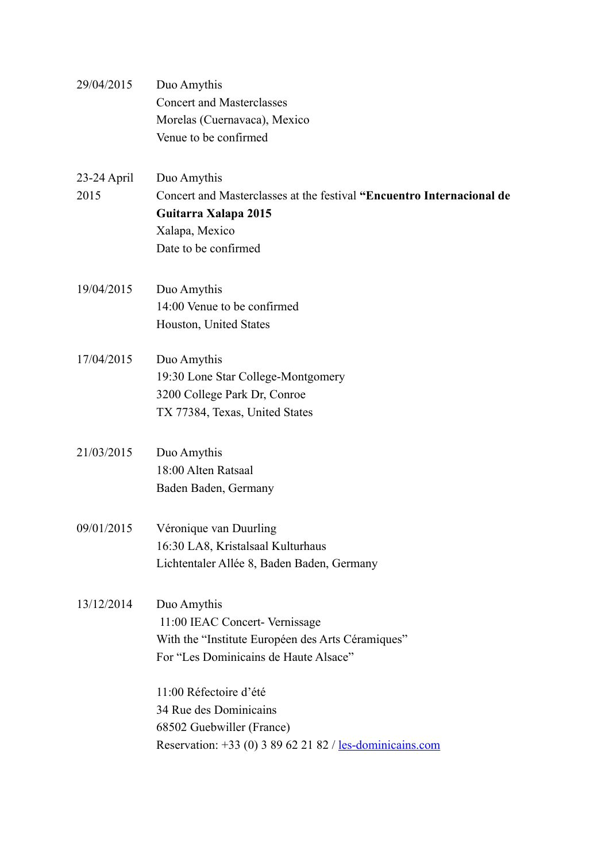| 29/04/2015            | Duo Amythis<br><b>Concert and Masterclasses</b><br>Morelas (Cuernavaca), Mexico<br>Venue to be confirmed                                               |
|-----------------------|--------------------------------------------------------------------------------------------------------------------------------------------------------|
| $23-24$ April<br>2015 | Duo Amythis<br>Concert and Masterclasses at the festival "Encuentro Internacional de<br>Guitarra Xalapa 2015<br>Xalapa, Mexico<br>Date to be confirmed |
| 19/04/2015            | Duo Amythis<br>14:00 Venue to be confirmed<br>Houston, United States                                                                                   |
| 17/04/2015            | Duo Amythis<br>19:30 Lone Star College-Montgomery<br>3200 College Park Dr, Conroe<br>TX 77384, Texas, United States                                    |
| 21/03/2015            | Duo Amythis<br>18:00 Alten Ratsaal<br>Baden Baden, Germany                                                                                             |
| 09/01/2015            | Véronique van Duurling<br>16:30 LA8, Kristalsaal Kulturhaus<br>Lichtentaler Allée 8, Baden Baden, Germany                                              |
| 13/12/2014            | Duo Amythis<br>11:00 IEAC Concert- Vernissage<br>With the "Institute Européen des Arts Céramiques"<br>For "Les Dominicains de Haute Alsace"            |
|                       | 11:00 Réfectoire d'été<br>34 Rue des Dominicains<br>68502 Guebwiller (France)<br>Reservation: +33 (0) 3 89 62 21 82 / <u>les-dominicains.com</u>       |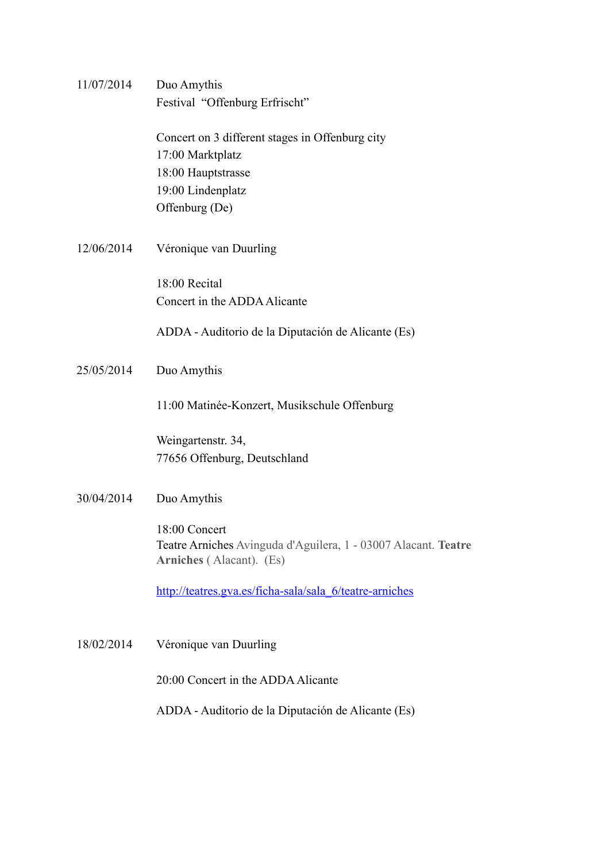| 11/07/2014 | Duo Amythis<br>Festival "Offenburg Erfrischt"                                                                                    |
|------------|----------------------------------------------------------------------------------------------------------------------------------|
|            | Concert on 3 different stages in Offenburg city<br>17:00 Marktplatz<br>18:00 Hauptstrasse<br>19:00 Lindenplatz<br>Offenburg (De) |
| 12/06/2014 | Véronique van Duurling                                                                                                           |
|            | 18:00 Recital<br>Concert in the ADDA Alicante                                                                                    |
|            | ADDA - Auditorio de la Diputación de Alicante (Es)                                                                               |
| 25/05/2014 | Duo Amythis                                                                                                                      |
|            | 11:00 Matinée-Konzert, Musikschule Offenburg                                                                                     |
|            | Weingartenstr. 34,<br>77656 Offenburg, Deutschland                                                                               |
| 30/04/2014 | Duo Amythis                                                                                                                      |
|            | 18:00 Concert<br>Teatre Arniches Avinguda d'Aguilera, 1 - 03007 Alacant. Teatre<br>Arniches (Alacant). (Es)                      |
|            | http://teatres.gva.es/ficha-sala/sala 6/teatre-arniches                                                                          |
| 18/02/2014 | Véronique van Duurling                                                                                                           |
|            | 20:00 Concert in the ADDA Alicante                                                                                               |
|            | ADDA - Auditorio de la Diputación de Alicante (Es)                                                                               |
|            |                                                                                                                                  |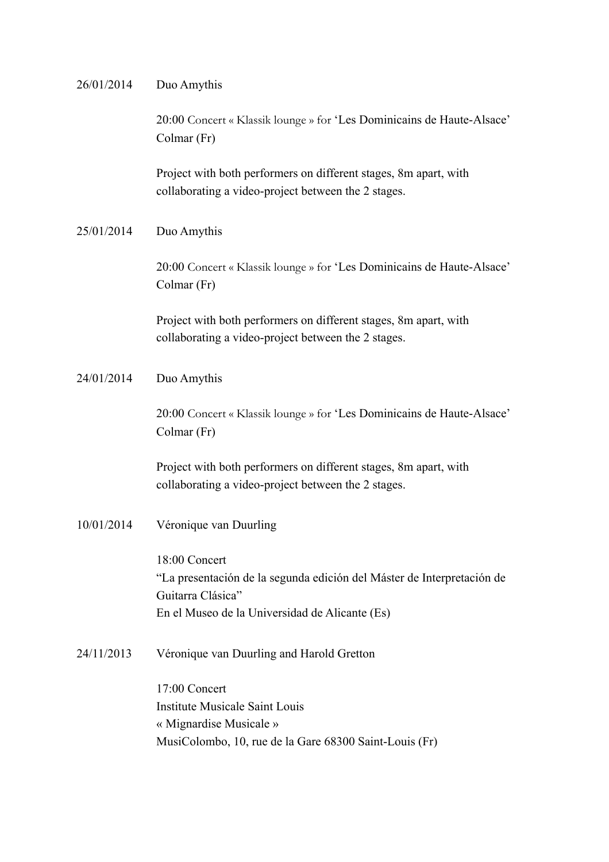|            | 20:00 Concert « Klassik lounge » for 'Les Dominicains de Haute-Alsace'<br>Colmar (Fr)                                                                          |
|------------|----------------------------------------------------------------------------------------------------------------------------------------------------------------|
|            | Project with both performers on different stages, 8m apart, with<br>collaborating a video-project between the 2 stages.                                        |
| 25/01/2014 | Duo Amythis                                                                                                                                                    |
|            | 20:00 Concert « Klassik lounge » for 'Les Dominicains de Haute-Alsace'<br>Colmar (Fr)                                                                          |
|            | Project with both performers on different stages, 8m apart, with<br>collaborating a video-project between the 2 stages.                                        |
| 24/01/2014 | Duo Amythis                                                                                                                                                    |
|            | 20:00 Concert « Klassik lounge » for 'Les Dominicains de Haute-Alsace'<br>Colmar (Fr)                                                                          |
|            | Project with both performers on different stages, 8m apart, with<br>collaborating a video-project between the 2 stages.                                        |
| 10/01/2014 | Véronique van Duurling                                                                                                                                         |
|            | 18:00 Concert<br>"La presentación de la segunda edición del Máster de Interpretación de<br>Guitarra Clásica"<br>En el Museo de la Universidad de Alicante (Es) |
| 24/11/2013 | Véronique van Duurling and Harold Gretton                                                                                                                      |
|            | 17:00 Concert<br><b>Institute Musicale Saint Louis</b><br>« Mignardise Musicale »<br>MusiColombo, 10, rue de la Gare 68300 Saint-Louis (Fr)                    |

26/01/2014 Duo Amythis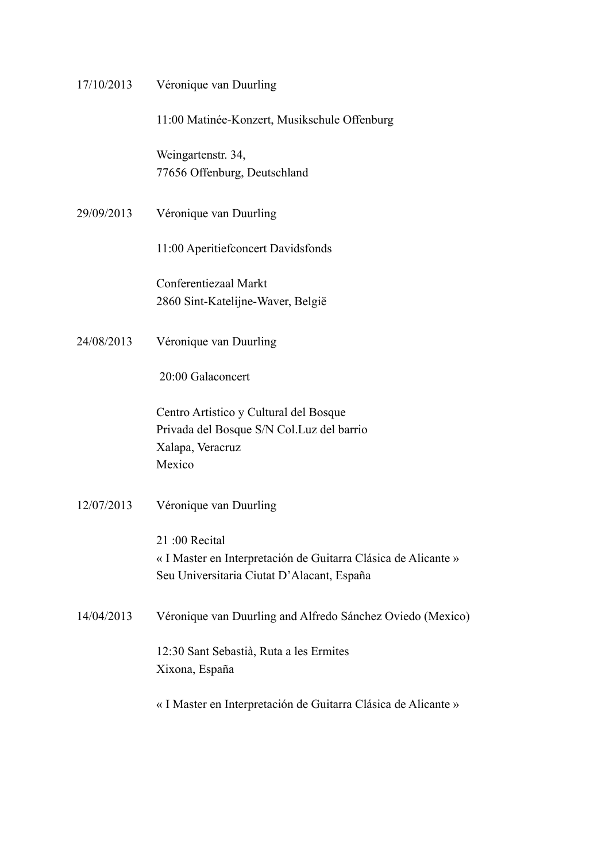| 17/10/2013 | Véronique van Duurling                                                                                                        |
|------------|-------------------------------------------------------------------------------------------------------------------------------|
|            | 11:00 Matinée-Konzert, Musikschule Offenburg                                                                                  |
|            | Weingartenstr. 34,<br>77656 Offenburg, Deutschland                                                                            |
| 29/09/2013 | Véronique van Duurling                                                                                                        |
|            | 11:00 Aperitief concert Davidsfonds                                                                                           |
|            | Conferentiezaal Markt<br>2860 Sint-Katelijne-Waver, België                                                                    |
| 24/08/2013 | Véronique van Duurling                                                                                                        |
|            | 20:00 Galaconcert                                                                                                             |
|            | Centro Artistico y Cultural del Bosque<br>Privada del Bosque S/N Col.Luz del barrio<br>Xalapa, Veracruz<br>Mexico             |
| 12/07/2013 | Véronique van Duurling                                                                                                        |
|            | 21:00 Recital<br>« I Master en Interpretación de Guitarra Clásica de Alicante »<br>Seu Universitaria Ciutat D'Alacant, España |
| 14/04/2013 | Véronique van Duurling and Alfredo Sánchez Oviedo (Mexico)                                                                    |
|            | 12:30 Sant Sebastià, Ruta a les Ermites<br>Xixona, España                                                                     |
|            | « I Master en Interpretación de Guitarra Clásica de Alicante »                                                                |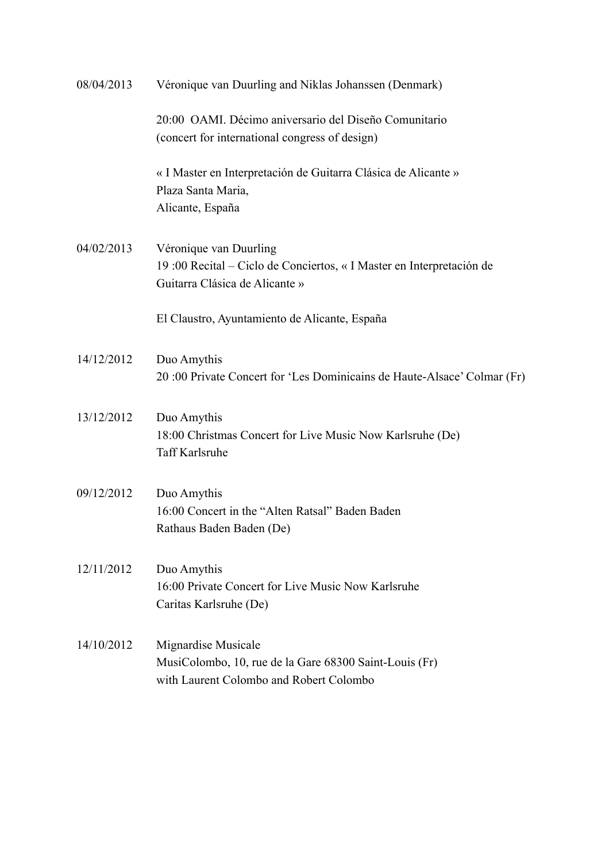| 08/04/2013 | Véronique van Duurling and Niklas Johanssen (Denmark)                   |
|------------|-------------------------------------------------------------------------|
|            | 20:00 OAMI. Décimo aniversario del Diseño Comunitario                   |
|            | (concert for international congress of design)                          |
|            | « I Master en Interpretación de Guitarra Clásica de Alicante »          |
|            | Plaza Santa Maria,                                                      |
|            | Alicante, España                                                        |
| 04/02/2013 | Véronique van Duurling                                                  |
|            | 19:00 Recital - Ciclo de Conciertos, « I Master en Interpretación de    |
|            | Guitarra Clásica de Alicante »                                          |
|            | El Claustro, Ayuntamiento de Alicante, España                           |
|            |                                                                         |
| 14/12/2012 | Duo Amythis                                                             |
|            | 20:00 Private Concert for 'Les Dominicains de Haute-Alsace' Colmar (Fr) |
| 13/12/2012 | Duo Amythis                                                             |
|            | 18:00 Christmas Concert for Live Music Now Karlsruhe (De)               |
|            | Taff Karlsruhe                                                          |
| 09/12/2012 | Duo Amythis                                                             |
|            | 16:00 Concert in the "Alten Ratsal" Baden Baden                         |
|            | Rathaus Baden Baden (De)                                                |
| 12/11/2012 | Duo Amythis                                                             |
|            | 16:00 Private Concert for Live Music Now Karlsruhe                      |
|            | Caritas Karlsruhe (De)                                                  |
| 14/10/2012 | Mignardise Musicale                                                     |
|            | MusiColombo, 10, rue de la Gare 68300 Saint-Louis (Fr)                  |
|            | with Laurent Colombo and Robert Colombo                                 |
|            |                                                                         |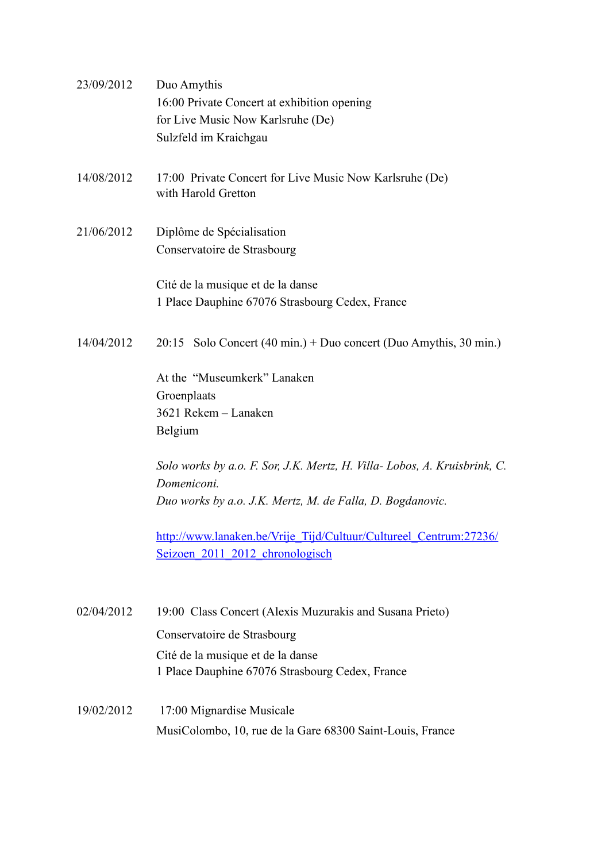| 23/09/2012 | Duo Amythis<br>16:00 Private Concert at exhibition opening<br>for Live Music Now Karlsruhe (De)<br>Sulzfeld im Kraichgau                             |
|------------|------------------------------------------------------------------------------------------------------------------------------------------------------|
| 14/08/2012 | 17:00 Private Concert for Live Music Now Karlsruhe (De)<br>with Harold Gretton                                                                       |
| 21/06/2012 | Diplôme de Spécialisation<br>Conservatoire de Strasbourg                                                                                             |
|            | Cité de la musique et de la danse<br>1 Place Dauphine 67076 Strasbourg Cedex, France                                                                 |
| 14/04/2012 | $20:15$ Solo Concert (40 min.) + Duo concert (Duo Amythis, 30 min.)                                                                                  |
|            | At the "Museumkerk" Lanaken<br>Groenplaats<br>3621 Rekem - Lanaken<br>Belgium                                                                        |
|            | Solo works by a.o. F. Sor, J.K. Mertz, H. Villa-Lobos, A. Kruisbrink, C.<br>Domeniconi.<br>Duo works by a.o. J.K. Mertz, M. de Falla, D. Bogdanovic. |
|            | http://www.lanaken.be/Vrije Tijd/Cultuur/Cultureel Centrum:27236/<br>Seizoen 2011 2012 chronologisch                                                 |
| 02/04/2012 | 19:00 Class Concert (Alexis Muzurakis and Susana Prieto)                                                                                             |
|            | Conservatoire de Strasbourg<br>Cité de la musique et de la danse<br>1 Place Dauphine 67076 Strasbourg Cedex, France                                  |
| 19/02/2012 | 17:00 Mignardise Musicale<br>MusiColombo, 10, rue de la Gare 68300 Saint-Louis, France                                                               |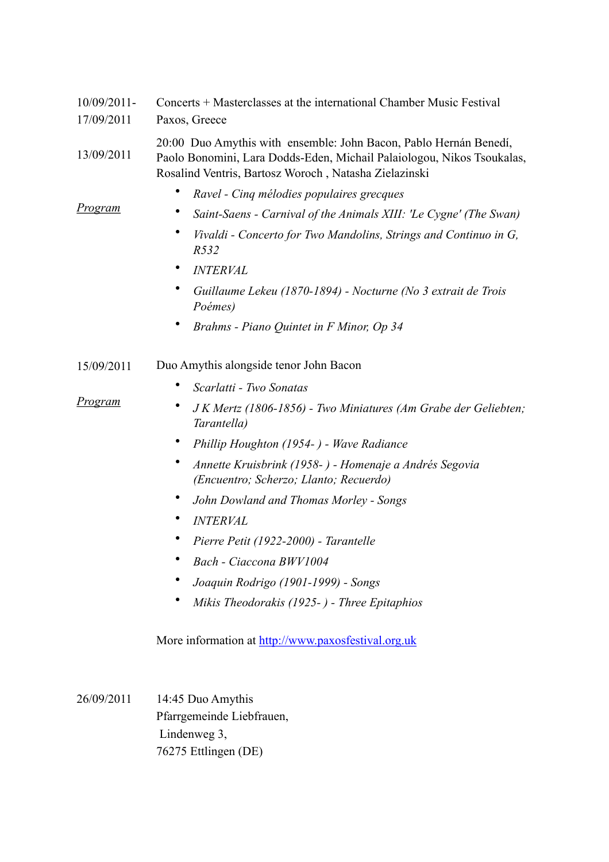| $10/09/2011$ - | Concerts + Masterclasses at the international Chamber Music Festival                                                                                                                                 |
|----------------|------------------------------------------------------------------------------------------------------------------------------------------------------------------------------------------------------|
| 17/09/2011     | Paxos, Greece                                                                                                                                                                                        |
| 13/09/2011     | 20:00 Duo Amythis with ensemble: John Bacon, Pablo Hernán Benedí,<br>Paolo Bonomini, Lara Dodds-Eden, Michail Palaiologou, Nikos Tsoukalas,<br>Rosalind Ventris, Bartosz Woroch, Natasha Zielazinski |
|                | Ravel - Cinq mélodies populaires grecques                                                                                                                                                            |
| <u>Program</u> | Saint-Saens - Carnival of the Animals XIII: 'Le Cygne' (The Swan)                                                                                                                                    |
|                | ٠<br>Vivaldi - Concerto for Two Mandolins, Strings and Continuo in G,<br>R532                                                                                                                        |
|                | <b>INTERVAL</b>                                                                                                                                                                                      |
|                | Guillaume Lekeu (1870-1894) - Nocturne (No 3 extrait de Trois<br>Poémes)                                                                                                                             |
|                | Brahms - Piano Quintet in F Minor, Op 34                                                                                                                                                             |
| 15/09/2011     | Duo Amythis alongside tenor John Bacon                                                                                                                                                               |
|                | Scarlatti - Two Sonatas                                                                                                                                                                              |
| <u>Program</u> | J K Mertz (1806-1856) - Two Miniatures (Am Grabe der Geliebten;<br>Tarantella)                                                                                                                       |
|                | Phillip Houghton (1954-) - Wave Radiance                                                                                                                                                             |
|                | Annette Kruisbrink (1958- ) - Homenaje a Andrés Segovia<br>(Encuentro; Scherzo; Llanto; Recuerdo)                                                                                                    |
|                | John Dowland and Thomas Morley - Songs                                                                                                                                                               |
|                | <b>INTERVAL</b>                                                                                                                                                                                      |
|                | Pierre Petit (1922-2000) - Tarantelle                                                                                                                                                                |
|                | Bach - Ciaccona BWV1004                                                                                                                                                                              |
|                | Joaquin Rodrigo (1901-1999) - Songs                                                                                                                                                                  |
|                | Mikis Theodorakis (1925-) - Three Epitaphios                                                                                                                                                         |
|                | More information at http://www.paxosfestival.org.uk                                                                                                                                                  |
| 26/09/2011     | 14:45 Duo Amythis                                                                                                                                                                                    |
|                | Pfarrgemeinde Liebfrauen,                                                                                                                                                                            |
|                | Lindenweg 3,                                                                                                                                                                                         |

76275 Ettlingen (DE)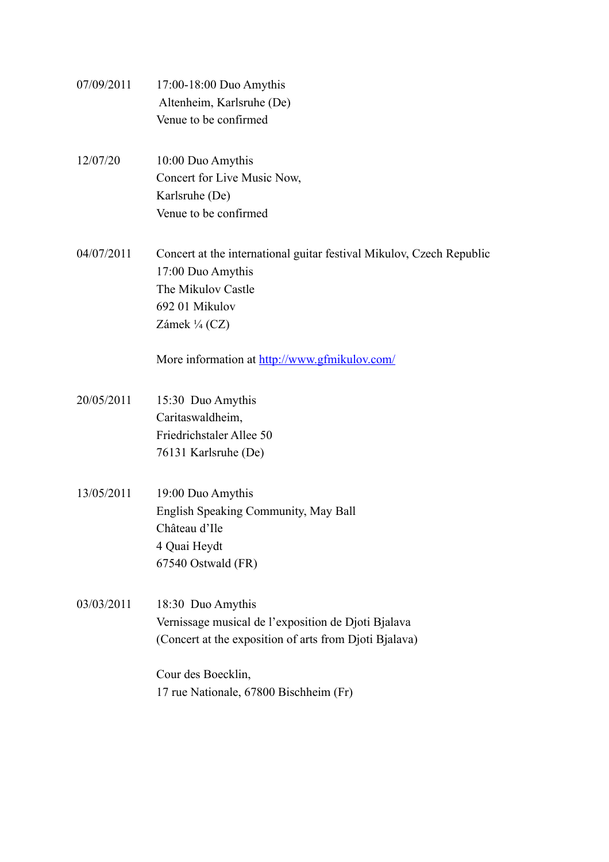07/09/2011 17:00-18:00 Duo Amythis Altenheim, Karlsruhe (De) Venue to be confirmed 12/07/20 10:00 Duo Amythis Concert for Live Music Now, Karlsruhe (De) Venue to be confirmed 04/07/2011 Concert at the international guitar festival Mikulov, Czech Republic 17:00 Duo Amythis The Mikulov Castle 692 01 Mikulov Zámek ¼ (CZ) More information at<http://www.gfmikulov.com/> 20/05/2011 15:30 Duo Amythis Caritaswaldheim, Friedrichstaler Allee 50 76131 Karlsruhe (De) 13/05/2011 19:00 Duo Amythis English Speaking Community, May Ball Château d'Ile 4 Quai Heydt 67540 Ostwald (FR) 03/03/2011 18:30 Duo Amythis Vernissage musical de l'exposition de Djoti Bjalava (Concert at the exposition of arts from Djoti Bjalava) Cour des Boecklin, 17 rue Nationale, 67800 Bischheim (Fr)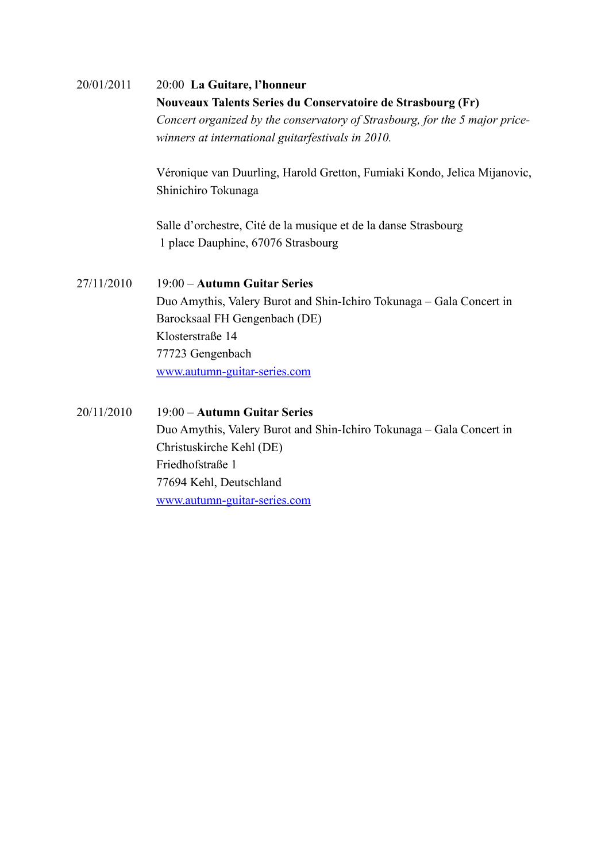| 20/01/2011 | 20:00 La Guitare, l'honneur                                                 |
|------------|-----------------------------------------------------------------------------|
|            | Nouveaux Talents Series du Conservatoire de Strasbourg (Fr)                 |
|            | Concert organized by the conservatory of Strasbourg, for the 5 major price- |
|            | winners at international guitarfestivals in 2010.                           |
|            | Véronique van Duurling, Harold Gretton, Fumiaki Kondo, Jelica Mijanovic,    |
|            | Shinichiro Tokunaga                                                         |
|            | Salle d'orchestre, Cité de la musique et de la danse Strasbourg             |
|            | 1 place Dauphine, 67076 Strasbourg                                          |
| 27/11/2010 | 19:00 - Autumn Guitar Series                                                |
|            | Duo Amythis, Valery Burot and Shin-Ichiro Tokunaga – Gala Concert in        |
|            | Barocksaal FH Gengenbach (DE)                                               |
|            | Klosterstraße 14                                                            |
|            | 77723 Gengenbach                                                            |
|            | www.autumn-guitar-series.com                                                |
| 20/11/2010 | 19:00 - Autumn Guitar Series                                                |
|            |                                                                             |
|            | Duo Amythis, Valery Burot and Shin-Ichiro Tokunaga - Gala Concert in        |
|            | Christuskirche Kehl (DE)                                                    |
|            | Friedhofstraße 1                                                            |
|            | 77694 Kehl, Deutschland                                                     |
|            | www.autumn-guitar-series.com                                                |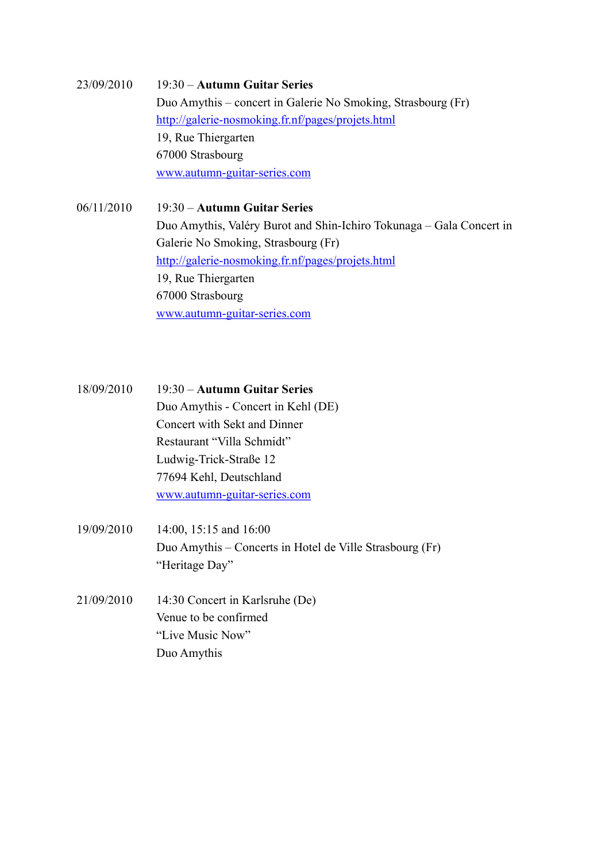## 23/09/2010 19:30 – **Autumn Guitar Series** Duo Amythis – concert in Galerie No Smoking, Strasbourg (Fr) <http://galerie-nosmoking.fr.nf/pages/projets.html> 19, Rue Thiergarten 67000 Strasbourg [www.autumn-guitar-series.com](http://www.autumn-guitar-series.com)

06/11/2010 19:30 – **Autumn Guitar Series** Duo Amythis, Valéry Burot and Shin-Ichiro Tokunaga – Gala Concert in Galerie No Smoking, Strasbourg (Fr) <http://galerie-nosmoking.fr.nf/pages/projets.html> 19, Rue Thiergarten 67000 Strasbourg [www.autumn-guitar-series.com](http://www.autumn-guitar-series.com)

18/09/2010 19:30 – **Autumn Guitar Series** Duo Amythis - Concert in Kehl (DE) Concert with Sekt and Dinner Restaurant "Villa Schmidt" Ludwig-Trick-Straße 12 77694 Kehl, Deutschland [www.autumn-guitar-series.com](http://www.autumn-guitar-series.com)

- 19/09/2010 14:00, 15:15 and 16:00 Duo Amythis – Concerts in Hotel de Ville Strasbourg (Fr) "Heritage Day"
- 21/09/2010 14:30 Concert in Karlsruhe (De) Venue to be confirmed "Live Music Now" Duo Amythis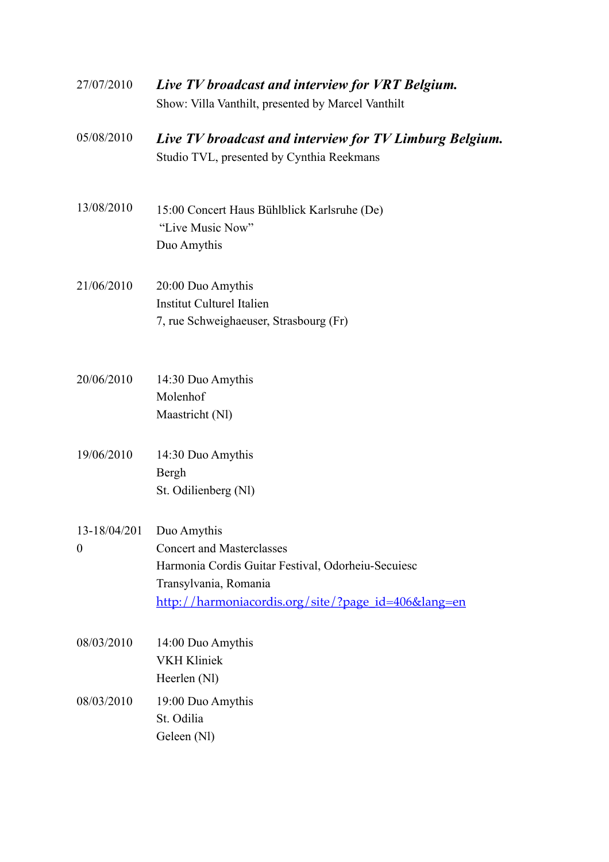| 27/07/2010                                   | Live TV broadcast and interview for VRT Belgium.<br>Show: Villa Vanthilt, presented by Marcel Vanthilt                                                                    |
|----------------------------------------------|---------------------------------------------------------------------------------------------------------------------------------------------------------------------------|
| 05/08/2010                                   | Live TV broadcast and interview for TV Limburg Belgium.<br>Studio TVL, presented by Cynthia Reekmans                                                                      |
| 13/08/2010                                   | 15:00 Concert Haus Bühlblick Karlsruhe (De)<br>"Live Music Now"<br>Duo Amythis                                                                                            |
| 21/06/2010                                   | 20:00 Duo Amythis<br><b>Institut Culturel Italien</b><br>7, rue Schweighaeuser, Strasbourg (Fr)                                                                           |
| 20/06/2010                                   | 14:30 Duo Amythis<br>Molenhof<br>Maastricht (Nl)                                                                                                                          |
| 19/06/2010                                   | 14:30 Duo Amythis<br>Bergh<br>St. Odilienberg (Nl)                                                                                                                        |
| $13-18/04/201$ Duo Amythis<br>$\overline{0}$ | <b>Concert and Masterclasses</b><br>Harmonia Cordis Guitar Festival, Odorheiu-Secuiesc<br>Transylvania, Romania<br><u>http://harmoniacordis.org/site/?page_id=406⟨=en</u> |
| 08/03/2010                                   | 14:00 Duo Amythis<br><b>VKH Kliniek</b><br>Heerlen (Nl)                                                                                                                   |
| 08/03/2010                                   | 19:00 Duo Amythis<br>St. Odilia<br>Geleen (Nl)                                                                                                                            |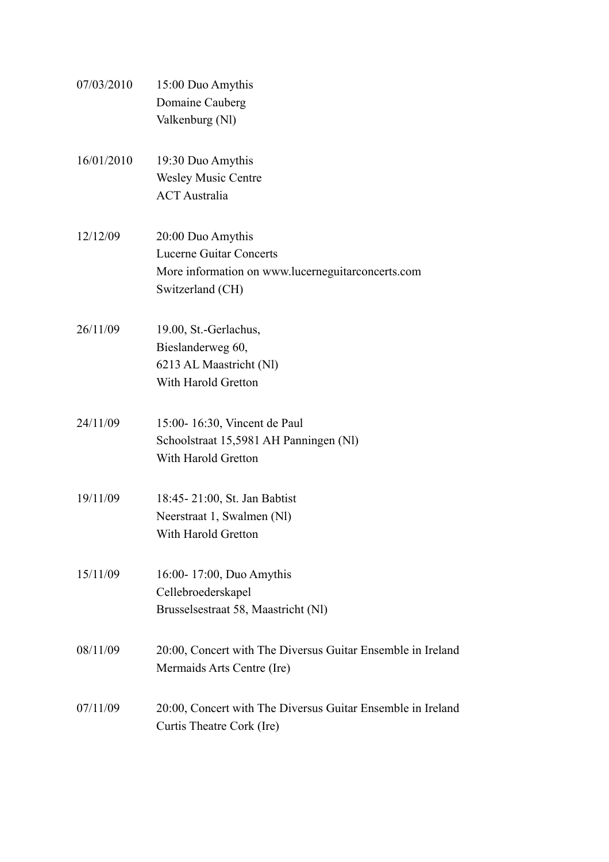| 07/03/2010 | 15:00 Duo Amythis                                           |
|------------|-------------------------------------------------------------|
|            | Domaine Cauberg                                             |
|            | Valkenburg (Nl)                                             |
|            |                                                             |
| 16/01/2010 | 19:30 Duo Amythis                                           |
|            | <b>Wesley Music Centre</b>                                  |
|            | <b>ACT</b> Australia                                        |
|            |                                                             |
| 12/12/09   | 20:00 Duo Amythis                                           |
|            | <b>Lucerne Guitar Concerts</b>                              |
|            | More information on www.lucerneguitarconcerts.com           |
|            | Switzerland (CH)                                            |
|            |                                                             |
| 26/11/09   | 19.00, St.-Gerlachus,                                       |
|            | Bieslanderweg 60,                                           |
|            | 6213 AL Maastricht (Nl)                                     |
|            | With Harold Gretton                                         |
|            |                                                             |
| 24/11/09   | 15:00-16:30, Vincent de Paul                                |
|            | Schoolstraat 15,5981 AH Panningen (Nl)                      |
|            | With Harold Gretton                                         |
|            |                                                             |
| 19/11/09   | 18:45-21:00, St. Jan Babtist                                |
|            | Neerstraat 1, Swalmen (Nl)                                  |
|            | With Harold Gretton                                         |
|            |                                                             |
| 15/11/09   | 16:00-17:00, Duo Amythis                                    |
|            | Cellebroederskapel                                          |
|            | Brusselsestraat 58, Maastricht (Nl)                         |
|            |                                                             |
| 08/11/09   | 20:00, Concert with The Diversus Guitar Ensemble in Ireland |
|            | Mermaids Arts Centre (Ire)                                  |
|            |                                                             |
| 07/11/09   | 20:00, Concert with The Diversus Guitar Ensemble in Ireland |
|            | Curtis Theatre Cork (Ire)                                   |
|            |                                                             |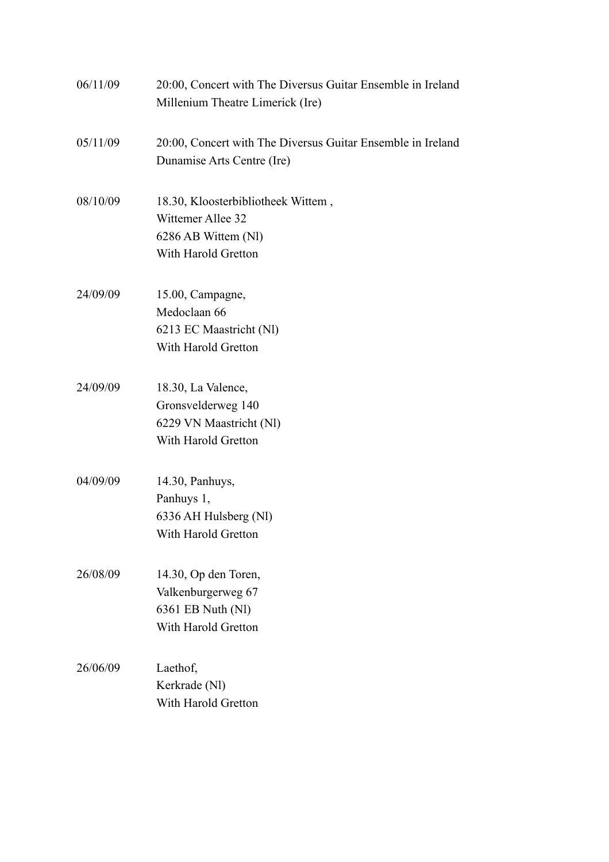| 06/11/09 | 20:00, Concert with The Diversus Guitar Ensemble in Ireland<br>Millenium Theatre Limerick (Ire)       |
|----------|-------------------------------------------------------------------------------------------------------|
| 05/11/09 | 20:00, Concert with The Diversus Guitar Ensemble in Ireland<br>Dunamise Arts Centre (Ire)             |
| 08/10/09 | 18.30, Kloosterbibliotheek Wittem,<br>Wittemer Allee 32<br>6286 AB Wittem (Nl)<br>With Harold Gretton |
| 24/09/09 | 15.00, Campagne,<br>Medoclaan 66<br>6213 EC Maastricht (Nl)<br>With Harold Gretton                    |
| 24/09/09 | 18.30, La Valence,<br>Gronsvelderweg 140<br>6229 VN Maastricht (Nl)<br>With Harold Gretton            |
| 04/09/09 | 14.30, Panhuys,<br>Panhuys 1,<br>6336 AH Hulsberg (Nl)<br>With Harold Gretton                         |
| 26/08/09 | 14.30, Op den Toren,<br>Valkenburgerweg 67<br>6361 EB Nuth (Nl)<br>With Harold Gretton                |
| 26/06/09 | Laethof,<br>Kerkrade (Nl)<br>With Harold Gretton                                                      |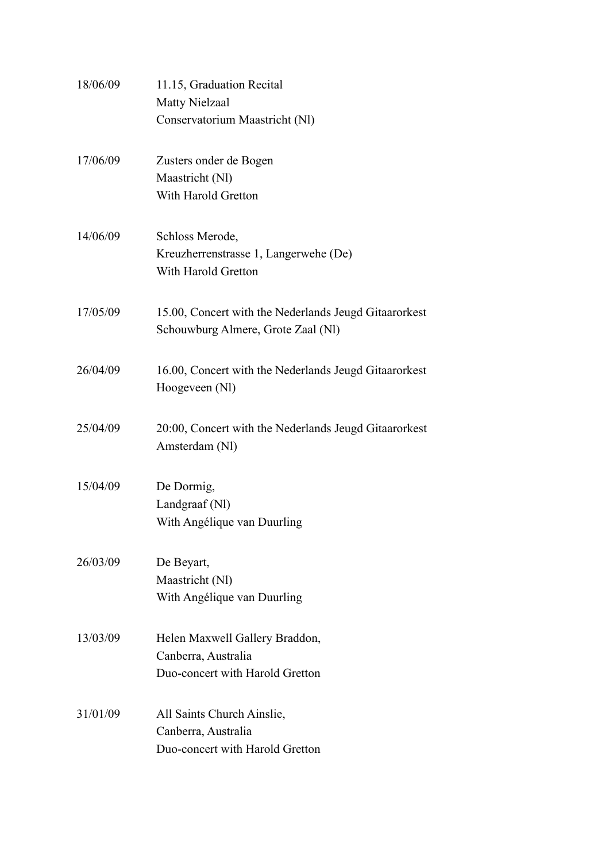| 18/06/09 | 11.15, Graduation Recital                                                                   |
|----------|---------------------------------------------------------------------------------------------|
|          | <b>Matty Nielzaal</b>                                                                       |
|          | Conservatorium Maastricht (Nl)                                                              |
| 17/06/09 | Zusters onder de Bogen                                                                      |
|          | Maastricht (Nl)                                                                             |
|          | With Harold Gretton                                                                         |
| 14/06/09 | Schloss Merode,                                                                             |
|          | Kreuzherrenstrasse 1, Langerwehe (De)                                                       |
|          | With Harold Gretton                                                                         |
| 17/05/09 | 15.00, Concert with the Nederlands Jeugd Gitaarorkest<br>Schouwburg Almere, Grote Zaal (Nl) |
| 26/04/09 | 16.00, Concert with the Nederlands Jeugd Gitaarorkest<br>Hoogeveen (N1)                     |
| 25/04/09 | 20:00, Concert with the Nederlands Jeugd Gitaarorkest<br>Amsterdam (N1)                     |
| 15/04/09 | De Dormig,                                                                                  |
|          | Landgraaf (Nl)                                                                              |
|          | With Angélique van Duurling                                                                 |
| 26/03/09 | De Beyart,                                                                                  |
|          | Maastricht (Nl)                                                                             |
|          | With Angélique van Duurling                                                                 |
| 13/03/09 | Helen Maxwell Gallery Braddon,                                                              |
|          | Canberra, Australia                                                                         |
|          | Duo-concert with Harold Gretton                                                             |
| 31/01/09 | All Saints Church Ainslie,                                                                  |
|          | Canberra, Australia                                                                         |
|          | Duo-concert with Harold Gretton                                                             |